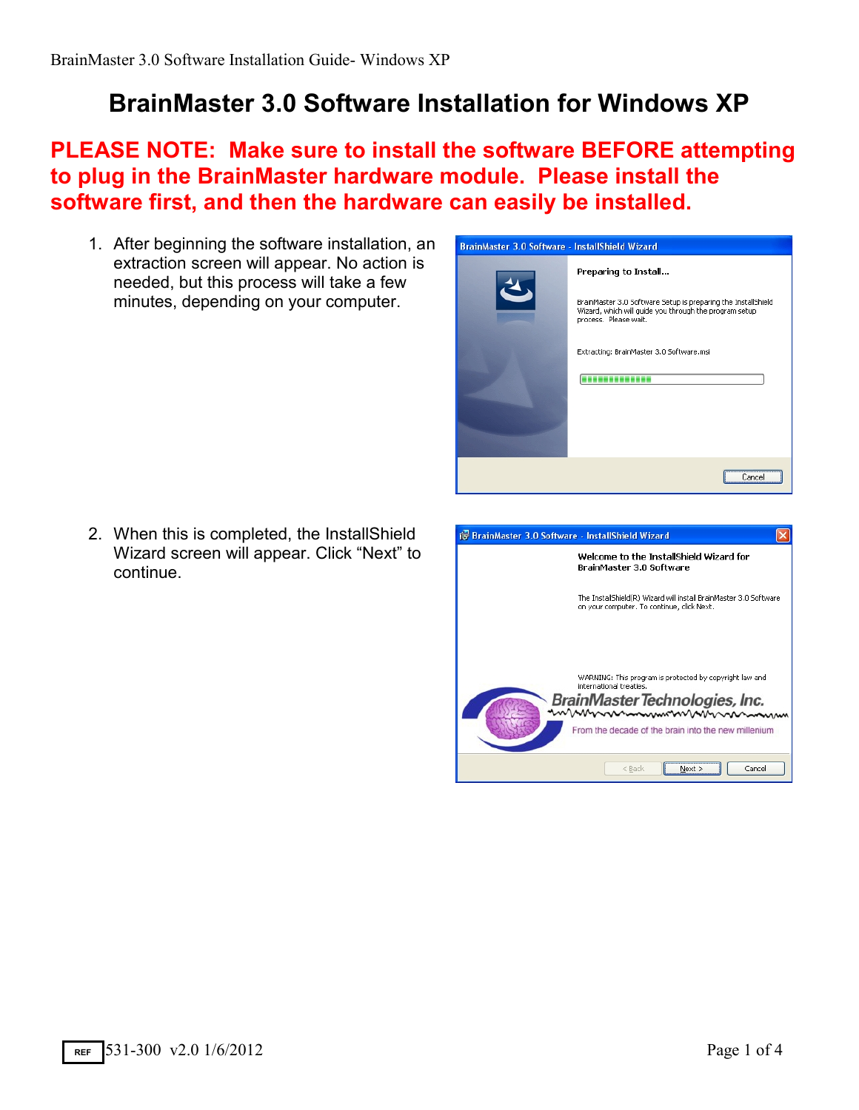## **BrainMaster 3.0 Software Installation for Windows XP**

## **PLEASE NOTE: Make sure to install the software BEFORE attempting to plug in the BrainMaster hardware module. Please install the software first, and then the hardware can easily be installed.**

1. After beginning the software installation, an extraction screen will appear. No action is needed, but this process will take a few minutes, depending on your computer.



2. When this is completed, the InstallShield Wizard screen will appear. Click "Next" to continue.

| BrainMaster 3.0 Software - InstallShield Wizard                                                                                                                                              |
|----------------------------------------------------------------------------------------------------------------------------------------------------------------------------------------------|
| Welcome to the InstallShield Wizard for<br>BrainMaster 3.0 Software                                                                                                                          |
| The InstallShield(R) Wizard will install BrainMaster 3.0 Software<br>on your computer. To continue, click Next.                                                                              |
| WARNING: This program is protected by copyright law and<br>international treaties.<br>BrainMaster Technologies, Inc.<br>mmmmmmmmmmmmm<br>From the decade of the brain into the new millenium |
| Cancel<br>$<$ Back                                                                                                                                                                           |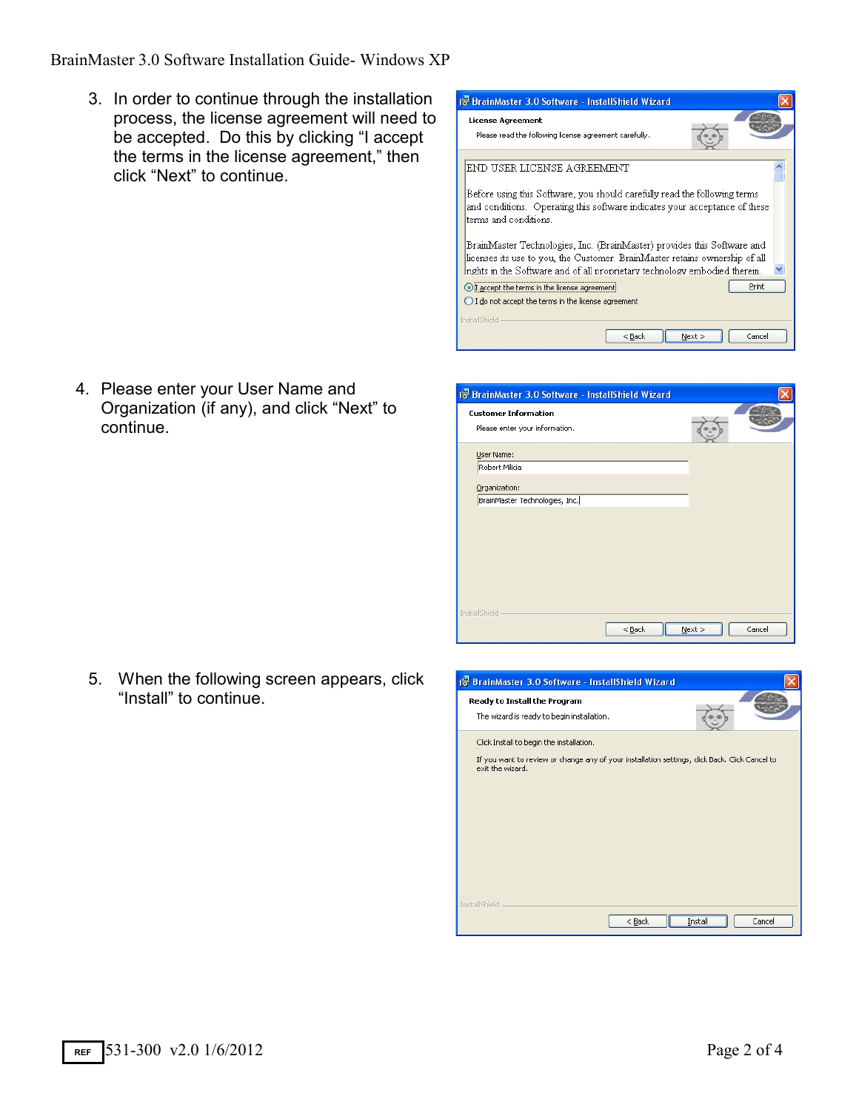## BrainMaster 3.0 Software Installation Guide- Windows XP

3. In order to continue through the installation process, the license agreement will need to be accepted. Do this by clicking "I accept the terms in the license agreement," then click "Next" to continue.

4. Please enter your User Name and

continue.

Organization (if any), and click "Next" to

| BrainMaster 3.0 Software - InstallShield Wizard                                                                                                                                                                                      |  |
|--------------------------------------------------------------------------------------------------------------------------------------------------------------------------------------------------------------------------------------|--|
| <b>License Agreement</b><br>Please read the following license agreement carefully.                                                                                                                                                   |  |
| END USER LICENSE AGREEMENT                                                                                                                                                                                                           |  |
| Before using this Software, you should carefully read the following terms<br>and conditions. Operating this software indicates your acceptance of these<br>terms and conditions.                                                     |  |
| BrainMaster Technologies, Inc. (BrainMaster) provides this Software and<br>licenses its use to you, the Customer. BrainMaster retains ownership of all<br>rights in the Software and of all proprietary technology embodied therein. |  |
| Print<br>I accept the terms in the license agreement!<br>$\bigcirc$ I do not accept the terms in the license agreement                                                                                                               |  |
| InstallShield<br>Cancel<br>$<$ Back<br>Next                                                                                                                                                                                          |  |

| <b>Customer Information</b>    |  |  |
|--------------------------------|--|--|
| Please enter your information. |  |  |
| User Name:                     |  |  |
| Robert Milicia                 |  |  |
| Organization:                  |  |  |
| BrainMaster Technologies, Inc. |  |  |
|                                |  |  |
|                                |  |  |
|                                |  |  |
|                                |  |  |
|                                |  |  |
|                                |  |  |
|                                |  |  |

5. When the following screen appears, click "Install" to continue.

| <b>BrainMaster 3.0 Software - InstallShield Wizard</b>                                                                                                         |                   |
|----------------------------------------------------------------------------------------------------------------------------------------------------------------|-------------------|
| Ready to Install the Program<br>The wizard is ready to begin installation.                                                                                     |                   |
| Click Install to begin the installation.<br>If you want to review or change any of your installation settings, click Back. Click Cancel to<br>exit the wizard. |                   |
| InstallShield<br>$<$ Back                                                                                                                                      | Install<br>Cancel |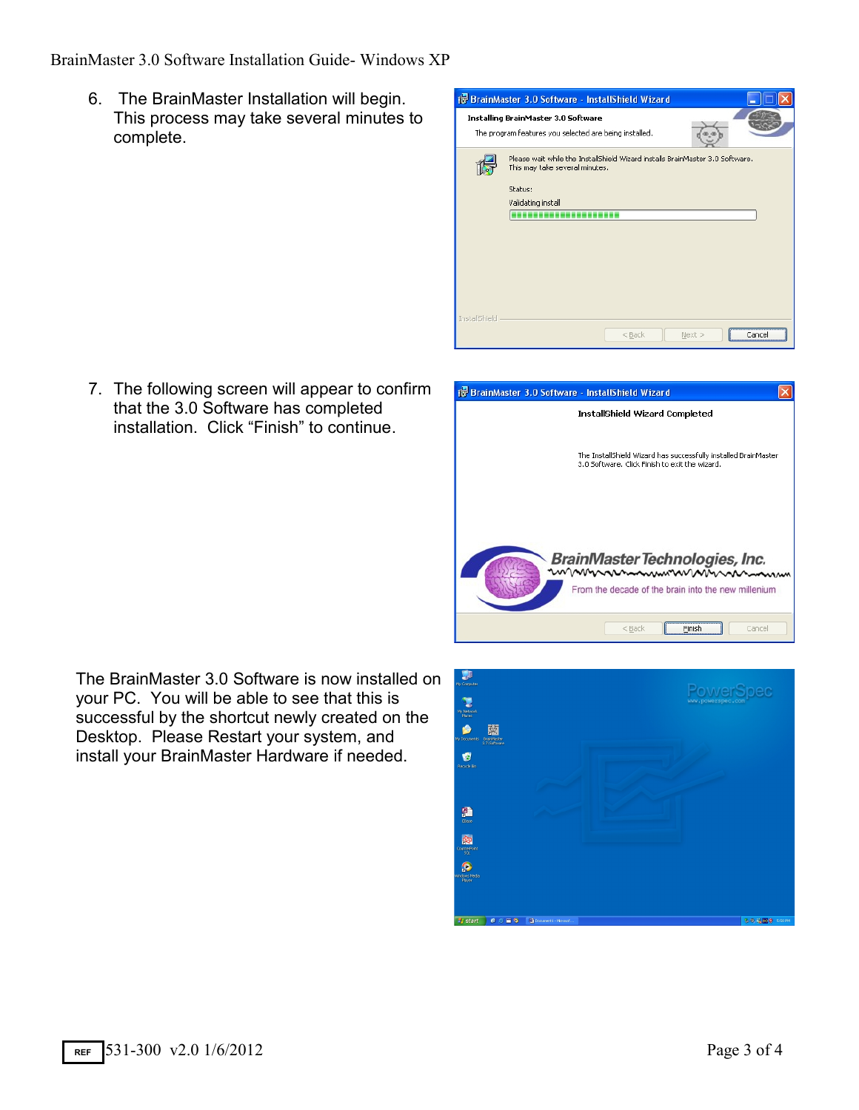BrainMaster 3.0 Software Installation Guide- Windows XP

6. The BrainMaster Installation will begin. This process may take several minutes to complete.



7. The following screen will appear to confirm that the 3.0 Software has completed installation. Click "Finish" to continue.



The BrainMaster 3.0 Software is now installed on your PC. You will be able to see that this is successful by the shortcut newly created on the Desktop. Please Restart your system, and install your BrainMaster Hardware if needed.